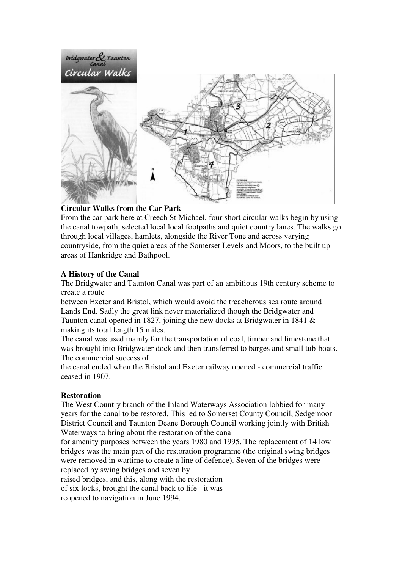

## **Circular Walks from the Car Park**

From the car park here at Creech St Michael, four short circular walks begin by using the canal towpath, selected local local footpaths and quiet country lanes. The walks go through local villages, hamlets, alongside the River Tone and across varying countryside, from the quiet areas of the Somerset Levels and Moors, to the built up areas of Hankridge and Bathpool.

# **A History of the Canal**

The Bridgwater and Taunton Canal was part of an ambitious 19th century scheme to create a route

between Exeter and Bristol, which would avoid the treacherous sea route around Lands End. Sadly the great link never materialized though the Bridgwater and Taunton canal opened in 1827, joining the new docks at Bridgwater in 1841 & making its total length 15 miles.

The canal was used mainly for the transportation of coal, timber and limestone that was brought into Bridgwater dock and then transferred to barges and small tub-boats. The commercial success of

the canal ended when the Bristol and Exeter railway opened - commercial traffic ceased in 1907.

## **Restoration**

The West Country branch of the Inland Waterways Association lobbied for many years for the canal to be restored. This led to Somerset County Council, Sedgemoor District Council and Taunton Deane Borough Council working jointly with British Waterways to bring about the restoration of the canal

for amenity purposes between the years 1980 and 1995. The replacement of 14 low bridges was the main part of the restoration programme (the original swing bridges were removed in wartime to create a line of defence). Seven of the bridges were replaced by swing bridges and seven by

raised bridges, and this, along with the restoration

of six locks, brought the canal back to life - it was

reopened to navigation in June 1994.